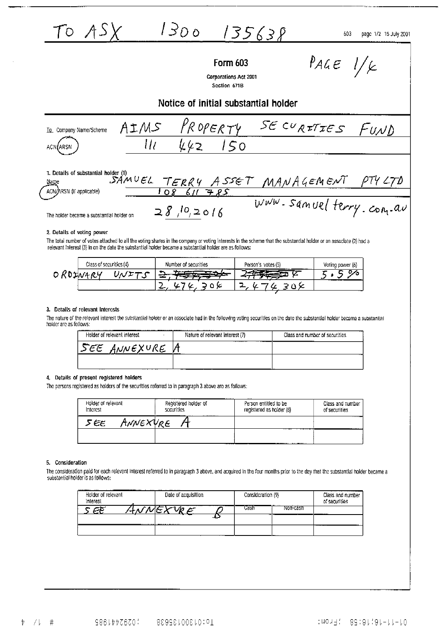$1300$   $135638$ TO ASX

603 page 1/2 15 July 2001

# **Form 603**

 $P_{A}$ 

Corporations Act 2001 Section 671B

Notice of initial substantial holder



2. Details of voting power

The total number of votes attached to all the voting shares in the company or voting interests in the scheme that the substantial holder or an associate (2) had a relevant interest (3) in on the date the substantial holder became a substantial holder are as follows:

| Class of securities (4) |  | Number of securities |  | Person's votes (5)<br>--------- |  | Voting power (6) |
|-------------------------|--|----------------------|--|---------------------------------|--|------------------|
|                         |  |                      |  |                                 |  |                  |
|                         |  |                      |  |                                 |  |                  |

#### 3. Details of relevant Interests

The nature of the relevant interest the substantial holder or an associate had in the following voting securities on the date the substantial holder became a substantial holder are as follows:

| Holder of relevant interest | Nature of relevant interest (7)  | Class and number of securities |
|-----------------------------|----------------------------------|--------------------------------|
| ' ANNEXURE<br>555           | -------<br>-------------<br>---- |                                |
|                             |                                  |                                |

#### 4. Details of present registered holders

The persons registered as holders of the securities referred to in paragraph 3 above are as follows:

| Holder of relevant<br>Interest | Registered holder of<br>securities<br> | <br>Person entitled to be<br>registered as holder (8) | Class and number<br>of securities |
|--------------------------------|----------------------------------------|-------------------------------------------------------|-----------------------------------|
| tnNEXVRE<br>5 ЕЕ               |                                        |                                                       | .                                 |
|                                |                                        | -------------------<br>.                              |                                   |

#### 5. Consideration

The consideration paid for each relevant interest referred to in paragraph 3 above, and acquired in the four months prior to the day that the substantial holder became a substantial holder is as follows:

| Holder of relevant<br>Interest | <br>Date of acquisition | Consideration (9) | .        | Class and number<br>of securities |
|--------------------------------|-------------------------|-------------------|----------|-----------------------------------|
|                                |                         | 5 ist             | Non-cash |                                   |
|                                |                         |                   | ---      |                                   |
|                                |                         |                   |          |                                   |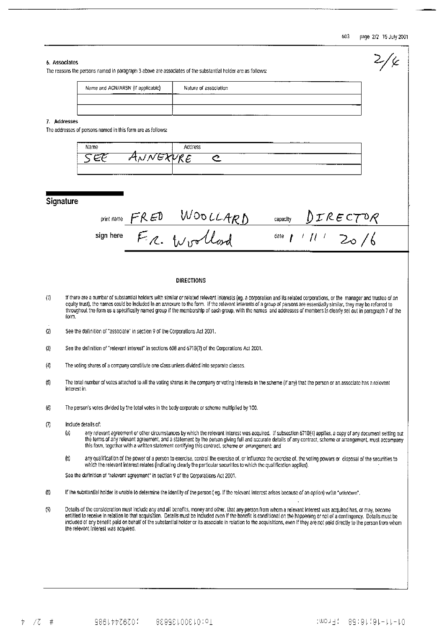### 603 page 2/2 15 July 2001

 $\sim$ 

|                     | 6. Associates<br>The reasons the persons named in paragraph 3 above are associates of the substantial holder are as follows:                                                                                                                                                                                                                                                                                                                                                                                                                                          |  |  |  |  |
|---------------------|-----------------------------------------------------------------------------------------------------------------------------------------------------------------------------------------------------------------------------------------------------------------------------------------------------------------------------------------------------------------------------------------------------------------------------------------------------------------------------------------------------------------------------------------------------------------------|--|--|--|--|
|                     | Name and ACN/ARSN (if applicable)<br>Nature of association                                                                                                                                                                                                                                                                                                                                                                                                                                                                                                            |  |  |  |  |
|                     |                                                                                                                                                                                                                                                                                                                                                                                                                                                                                                                                                                       |  |  |  |  |
|                     | 7. Addresses                                                                                                                                                                                                                                                                                                                                                                                                                                                                                                                                                          |  |  |  |  |
|                     | The addresses of persons named in this form are as follows:                                                                                                                                                                                                                                                                                                                                                                                                                                                                                                           |  |  |  |  |
|                     | Name<br>Address<br>NNEXVRE<br>5 E E<br>$\subset$                                                                                                                                                                                                                                                                                                                                                                                                                                                                                                                      |  |  |  |  |
|                     |                                                                                                                                                                                                                                                                                                                                                                                                                                                                                                                                                                       |  |  |  |  |
|                     |                                                                                                                                                                                                                                                                                                                                                                                                                                                                                                                                                                       |  |  |  |  |
|                     | Signature                                                                                                                                                                                                                                                                                                                                                                                                                                                                                                                                                             |  |  |  |  |
|                     | sign here $\frac{FRED}{F Z}$ WOOLLARD                                                                                                                                                                                                                                                                                                                                                                                                                                                                                                                                 |  |  |  |  |
|                     |                                                                                                                                                                                                                                                                                                                                                                                                                                                                                                                                                                       |  |  |  |  |
|                     | DIRECTIONS                                                                                                                                                                                                                                                                                                                                                                                                                                                                                                                                                            |  |  |  |  |
| (1)                 | If there are a number of substantial holders with similar or related relevant interests (eg. a corporation and its related corporations, or the manager and trustee of an<br>equity trust), the names could be included in an annexure to the form. If the relevant interests of a group or persons are essentially similar, they may be referred to<br>throughout the form as a specifically named group if the membership of each group, with the names and addresses of members is clearly set out in paragraph 7 of the<br>form.                                  |  |  |  |  |
| (2)                 | See the definition of "associate" in section 9 of the Corporations Act 2001.                                                                                                                                                                                                                                                                                                                                                                                                                                                                                          |  |  |  |  |
| (3)                 | See the definition of "relevant interest" In sections 608 and 671B(7) of the Corporations Act 2001.                                                                                                                                                                                                                                                                                                                                                                                                                                                                   |  |  |  |  |
| (4)                 | The voting shares of a company constitute one class unless divided into separate classes.                                                                                                                                                                                                                                                                                                                                                                                                                                                                             |  |  |  |  |
| $\left(5\right)$    | The total number of votes attached to all the voting shares in the company or voting interests in the scheme (if any) that the person or an associate has a relevant<br>interest in.                                                                                                                                                                                                                                                                                                                                                                                  |  |  |  |  |
| (6)                 | The person's votes divided by the total votes in the body corporate or scheme multiplied by 100.                                                                                                                                                                                                                                                                                                                                                                                                                                                                      |  |  |  |  |
| $\left( 7\right)$   | Include details of:<br>$\langle j \rangle$<br>any relevant agreement or other circumstances by which the relevant interest was acquired. If subsection 6718(4) applies, a copy of any document setting out<br>the terms of any relevant agreement, and a statement by the person giving full and accurate details of any contract, scheme or arrangement, must accompany<br>this form, together with a written statement certifying this contract, scheme or arrangement; and                                                                                         |  |  |  |  |
|                     | $\left( 0\right)$<br>any qualification of the power of a person to exercise, control the exercise of, or Influence the exercise of, the voting powers or disposal of the securities to<br>which the relevant interest relates (indicating clearly the particular securities to which the qualification applies).                                                                                                                                                                                                                                                      |  |  |  |  |
|                     | See the definition of "relevant agreement" in section 9 of the Corporations Act 2001.                                                                                                                                                                                                                                                                                                                                                                                                                                                                                 |  |  |  |  |
| $\langle 8 \rangle$ | If the substantial holder is unable to determine the identity of the person (eg. if the relevant Interest arises because of an option) write "unknown".                                                                                                                                                                                                                                                                                                                                                                                                               |  |  |  |  |
| (                   | Details of the consideration must include any and all benefits, money and other, that any person from whom a relevant interest was acquired has, or may, become<br>entitled to receive in relation to that acquisition. Details must be included even if the benefit is conditional on the happening or not of a contingency. Details must be<br>included of any benefit paid on behalf of the substantial holder or its associate in relation to the acquisitions, even if they are not paid directly to the person from whom<br>the relevant interest was acquired. |  |  |  |  |
|                     |                                                                                                                                                                                                                                                                                                                                                                                                                                                                                                                                                                       |  |  |  |  |
|                     |                                                                                                                                                                                                                                                                                                                                                                                                                                                                                                                                                                       |  |  |  |  |
|                     |                                                                                                                                                                                                                                                                                                                                                                                                                                                                                                                                                                       |  |  |  |  |

4 70 # 98614476700 9861468201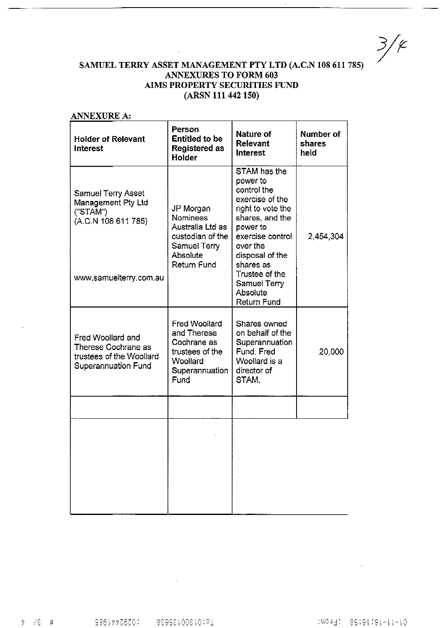$3/\epsilon$ 

## SAMUEL TERRY ASSET MANAGEMENT PTY LTD (A.C.N 108 611 785) **ANNEXURES TO FORM 603** AIMS PROPERTY SECURITIES FUND (ARSN 111 442 150)

 $\mathbf{r}$ 

| <b>ANNEXURE A:</b>                                                                                 |                                                                                                             |                                                                                                                                                                   |                             |
|----------------------------------------------------------------------------------------------------|-------------------------------------------------------------------------------------------------------------|-------------------------------------------------------------------------------------------------------------------------------------------------------------------|-----------------------------|
| <b>Holder of Relevant</b><br><b>Interest</b>                                                       | Person<br><b>Entitled to be</b><br><b>Registered as</b><br>Holder                                           | <b>Nature of</b><br>Relevant<br>Interest                                                                                                                          | Number of<br>shares<br>held |
| <b>Samuel Terry Asset</b><br>Management Pty Ltd<br>("STAM")<br>(A.C.N 108 611 785)                 | JP Morgan<br>Nominees<br>Australia Ltd as<br>custodian of the<br>Samuel Terry<br>Absolute                   | STAM has the<br>power to<br>control the<br>exercise of the<br>right to vote the<br>shares, and the<br>power to<br>exercise control<br>over the<br>disposal of the | 2,454,304                   |
| www.samuelterry.com.au                                                                             | Return Fund                                                                                                 | shares as<br>Trustee of the<br><b>Samuel Terry</b><br>Absolute<br>Return Fund                                                                                     |                             |
| Fred Woollard and<br>Therese Cochrane as<br>trustees of the Woollard<br><b>Superannuation Fund</b> | <b>Fred Woollard</b><br>and Therese<br>Cochrane as<br>trustees of the<br>Woollard<br>Superannuation<br>Fund | Shares owned<br>on behalf of the<br>Superannuation<br>Fund, Fred<br>Woollard is a<br>director of<br>STAM.                                                         | 20,000                      |
|                                                                                                    |                                                                                                             |                                                                                                                                                                   |                             |
|                                                                                                    |                                                                                                             |                                                                                                                                                                   |                             |